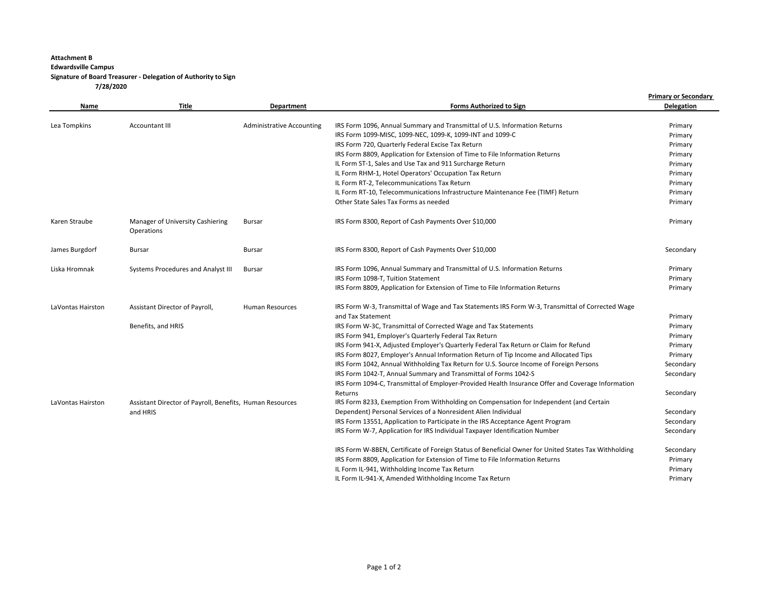## **Attachment B Edwardsville Campus Signature of Board Treasurer - Delegation of Authority to Sign 7/28/2020**

|                   | Title                                                    | Department                       | <b>Forms Authorized to Sign</b>                                                                                                        | <b>Primary or Secondary</b><br><b>Delegation</b> |
|-------------------|----------------------------------------------------------|----------------------------------|----------------------------------------------------------------------------------------------------------------------------------------|--------------------------------------------------|
| Name              |                                                          |                                  |                                                                                                                                        |                                                  |
|                   |                                                          |                                  |                                                                                                                                        |                                                  |
| Lea Tompkins      | Accountant III                                           | <b>Administrative Accounting</b> | IRS Form 1096, Annual Summary and Transmittal of U.S. Information Returns<br>IRS Form 1099-MISC, 1099-NEC, 1099-K, 1099-INT and 1099-C | Primary                                          |
|                   |                                                          |                                  | IRS Form 720, Quarterly Federal Excise Tax Return                                                                                      | Primary<br>Primary                               |
|                   |                                                          |                                  | IRS Form 8809, Application for Extension of Time to File Information Returns                                                           | Primary                                          |
|                   |                                                          |                                  | IL Form ST-1, Sales and Use Tax and 911 Surcharge Return                                                                               | Primary                                          |
|                   |                                                          |                                  | IL Form RHM-1, Hotel Operators' Occupation Tax Return                                                                                  | Primary                                          |
|                   |                                                          |                                  | IL Form RT-2, Telecommunications Tax Return                                                                                            | Primary                                          |
|                   |                                                          |                                  | IL Form RT-10, Telecommunications Infrastructure Maintenance Fee (TIMF) Return                                                         | Primary                                          |
|                   |                                                          |                                  | Other State Sales Tax Forms as needed                                                                                                  | Primary                                          |
|                   |                                                          |                                  |                                                                                                                                        |                                                  |
| Karen Straube     | Manager of University Cashiering<br>Operations           | Bursar                           | IRS Form 8300, Report of Cash Payments Over \$10,000                                                                                   | Primary                                          |
| James Burgdorf    | <b>Bursar</b>                                            | <b>Bursar</b>                    | IRS Form 8300, Report of Cash Payments Over \$10,000                                                                                   | Secondary                                        |
| Liska Hromnak     | Systems Procedures and Analyst III                       | Bursar                           | IRS Form 1096, Annual Summary and Transmittal of U.S. Information Returns                                                              | Primary                                          |
|                   |                                                          |                                  | IRS Form 1098-T, Tuition Statement                                                                                                     | Primary                                          |
|                   |                                                          |                                  | IRS Form 8809, Application for Extension of Time to File Information Returns                                                           | Primary                                          |
| LaVontas Hairston | Assistant Director of Payroll,                           | <b>Human Resources</b>           | IRS Form W-3, Transmittal of Wage and Tax Statements IRS Form W-3, Transmittal of Corrected Wage                                       |                                                  |
|                   |                                                          |                                  | and Tax Statement                                                                                                                      | Primary                                          |
|                   | Benefits, and HRIS                                       |                                  | IRS Form W-3C, Transmittal of Corrected Wage and Tax Statements                                                                        | Primary                                          |
|                   |                                                          |                                  | IRS Form 941, Employer's Quarterly Federal Tax Return                                                                                  | Primary                                          |
|                   |                                                          |                                  | IRS Form 941-X, Adjusted Employer's Quarterly Federal Tax Return or Claim for Refund                                                   | Primary                                          |
|                   |                                                          |                                  | IRS Form 8027, Employer's Annual Information Return of Tip Income and Allocated Tips                                                   | Primary                                          |
|                   |                                                          |                                  | IRS Form 1042, Annual Withholding Tax Return for U.S. Source Income of Foreign Persons                                                 | Secondary                                        |
|                   |                                                          |                                  | IRS Form 1042-T, Annual Summary and Transmittal of Forms 1042-S                                                                        | Secondary                                        |
|                   |                                                          |                                  | IRS Form 1094-C, Transmittal of Employer-Provided Health Insurance Offer and Coverage Information                                      |                                                  |
|                   |                                                          |                                  | Returns                                                                                                                                | Secondary                                        |
| LaVontas Hairston | Assistant Director of Payroll, Benefits, Human Resources |                                  | IRS Form 8233, Exemption From Withholding on Compensation for Independent (and Certain                                                 |                                                  |
|                   | and HRIS                                                 |                                  | Dependent) Personal Services of a Nonresident Alien Individual                                                                         | Secondary                                        |
|                   |                                                          |                                  | IRS Form 13551, Application to Participate in the IRS Acceptance Agent Program                                                         | Secondary                                        |
|                   |                                                          |                                  | IRS Form W-7, Application for IRS Individual Taxpayer Identification Number                                                            | Secondary                                        |
|                   |                                                          |                                  | IRS Form W-8BEN, Certificate of Foreign Status of Beneficial Owner for United States Tax Withholding                                   | Secondary                                        |
|                   |                                                          |                                  | IRS Form 8809, Application for Extension of Time to File Information Returns                                                           | Primary                                          |
|                   |                                                          |                                  | IL Form IL-941, Withholding Income Tax Return                                                                                          | Primary                                          |
|                   |                                                          |                                  | IL Form IL-941-X, Amended Withholding Income Tax Return                                                                                | Primary                                          |